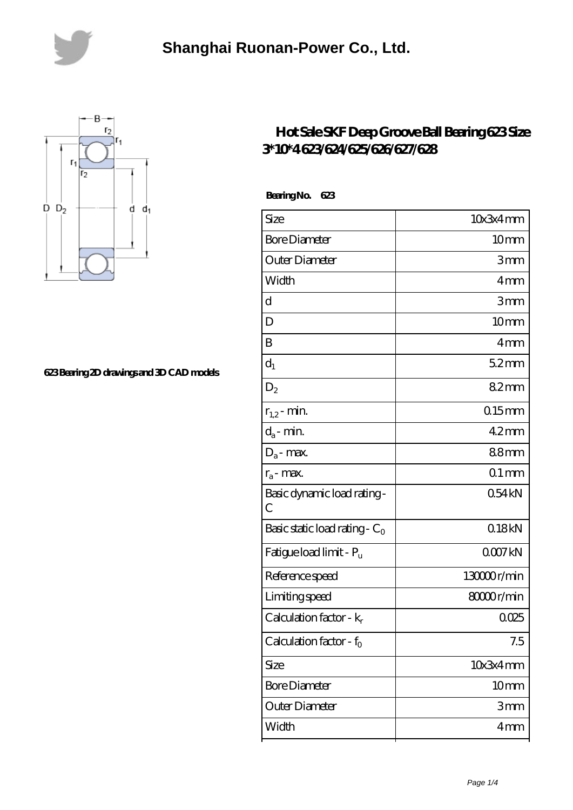



## **[623 Bearing 2D drawings and 3D CAD models](https://bolteditions.co.uk/pic-804566.html)**

## **[Hot Sale SKF Deep Groove Ball Bearing 623 Size](https://bolteditions.co.uk/skf-623-bearings/) [3\\*10\\*4 623/624/625/626/627/628](https://bolteditions.co.uk/skf-623-bearings/)**

| Size                                | 10x3x4mm         |
|-------------------------------------|------------------|
| <b>Bore Diameter</b>                | 10 <sub>mm</sub> |
| Outer Diameter                      | 3mm              |
| Width                               | 4mm              |
| d                                   | 3mm              |
| D                                   | 10 <sub>mm</sub> |
| B                                   | 4mm              |
| $d_1$                               | 52mm             |
| $D_2$                               | 82mm             |
| $r_{1,2}$ - min.                    | $0.15$ mm        |
| $d_a$ - min.                        | $42$ mm          |
| $D_a$ - max.                        | 88mm             |
| $r_a$ - max.                        | $01$ mm          |
| Basic dynamic load rating-<br>C     | 054kN            |
| Basic static load rating - $C_0$    | 018kN            |
| Fatigue load limit - Pu             | 0007kN           |
| Reference speed                     | 13000r/min       |
| Limiting speed                      | 8000r/min        |
| Calculation factor - k <sub>r</sub> | 0025             |
| Calculation factor - $f_0$          | 7.5              |
| Size                                | 10x3x4mm         |
| <b>Bore Diameter</b>                | 10 <sub>mm</sub> |
| Outer Diameter                      | 3mm              |
| Width                               | 4 <sub>mm</sub>  |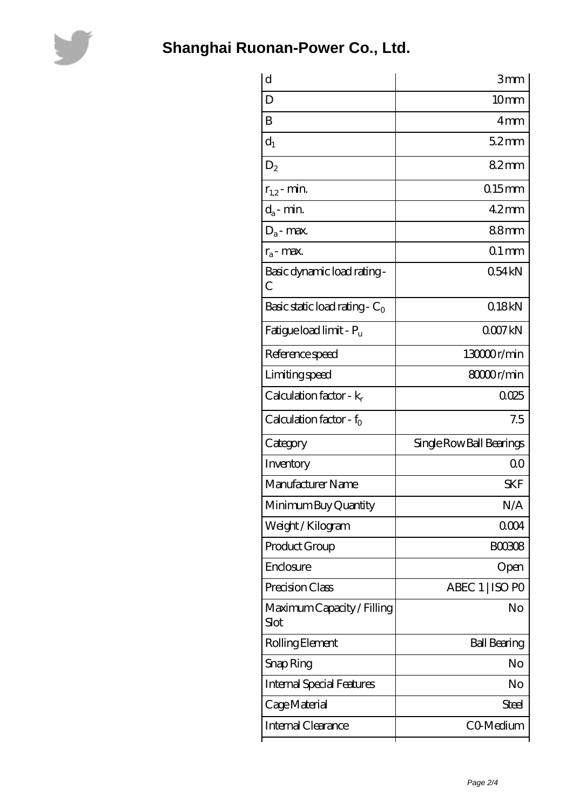

| d                                  | 3mm                      |
|------------------------------------|--------------------------|
| D                                  | 10 <sub>mm</sub>         |
| B                                  | 4mm                      |
| $d_1$                              | 52mm                     |
| $D_2$                              | 82mm                     |
| $r_{1,2}$ - min.                   | $0.15$ mm                |
| $d_a$ - min.                       | $42$ mm                  |
| $\mathbf{D}_\mathrm{a}$ - max.     | 88mm                     |
| $r_a$ - max.                       | $01$ mm                  |
| Basic dynamic load rating-<br>С    | 054kN                    |
| Basic static load rating - $C_0$   | 018kN                    |
| Fatigue load limit - Pu            | QOO7kN                   |
| Reference speed                    | 13000r/min               |
| Limiting speed                     | 8000r/min                |
| Calculation factor - $k_r$         | 0.025                    |
| Calculation factor - $f_0$         | 7.5                      |
| Category                           | Single Row Ball Bearings |
| Inventory                          | 0 <sup>0</sup>           |
| Manufacturer Name                  | <b>SKF</b>               |
| Minimum Buy Quantity               | N/A                      |
| Weight/Kilogram                    | 0004                     |
| Product Group                      | <b>BOO3O8</b>            |
| Enclosure                          | Open                     |
| Precision Class                    | ABEC 1   ISO PO          |
| Maximum Capacity / Filling<br>Slot | No                       |
| Rolling Element                    | <b>Ball Bearing</b>      |
| Snap Ring                          | No                       |
| <b>Internal Special Features</b>   | No                       |
|                                    |                          |
| Cage Material                      | Steel                    |
| Internal Clearance                 | C0 Medium                |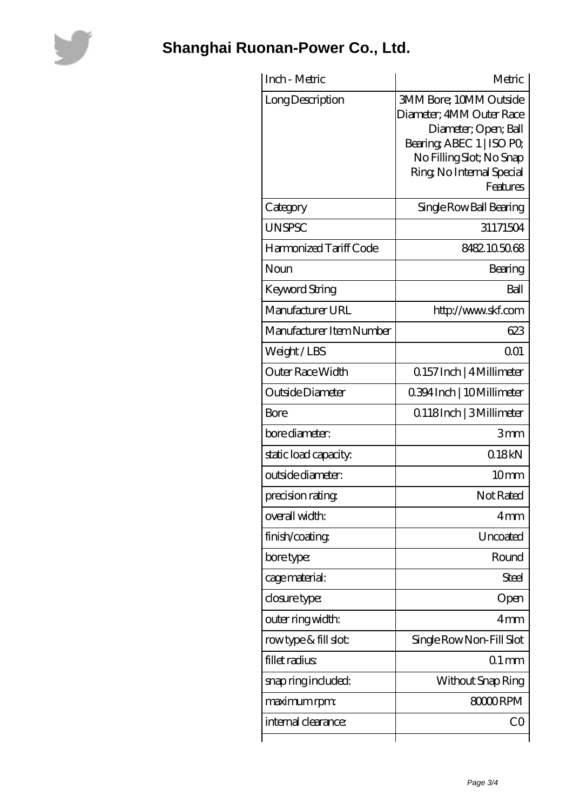

| Inch - Metric            | Metric                                                                                                                                                                              |
|--------------------------|-------------------------------------------------------------------------------------------------------------------------------------------------------------------------------------|
| Long Description         | <b>3MM Bore; 10MM Outside</b><br>Diameter; 4MM Outer Race<br>Diameter; Open; Ball<br>Bearing, ABEC 1   ISO PO,<br>No Filling Slot; No Snap<br>Ring, No Internal Special<br>Features |
| Category                 | Single Row Ball Bearing                                                                                                                                                             |
| <b>UNSPSC</b>            | 31171504                                                                                                                                                                            |
| Harmonized Tariff Code   | 8482105068                                                                                                                                                                          |
| Noun                     | Bearing                                                                                                                                                                             |
| <b>Keyword String</b>    | Ball                                                                                                                                                                                |
| Manufacturer URL         | http://www.skf.com                                                                                                                                                                  |
| Manufacturer Item Number | 623                                                                                                                                                                                 |
| Weight/LBS               | 0 <sub>01</sub>                                                                                                                                                                     |
| Outer Race Width         | 0.157 Inch   4 Millimeter                                                                                                                                                           |
| Outside Diameter         | 0.394 Inch   10 Millimeter                                                                                                                                                          |
| Bore                     | Q118Inch   3Millimeter                                                                                                                                                              |
| bore diameter:           | 3mm                                                                                                                                                                                 |
| static load capacity:    | 018kN                                                                                                                                                                               |
| outside diameter:        | 10 <sub>mm</sub>                                                                                                                                                                    |
| precision rating         | Not Rated                                                                                                                                                                           |
| overall width:           | 4mm                                                                                                                                                                                 |
| finish/coating           | Uncoated                                                                                                                                                                            |
| bore type:               | Round                                                                                                                                                                               |
| cage material:           | <b>Steel</b>                                                                                                                                                                        |
| closure type:            | Open                                                                                                                                                                                |
| outer ring width:        | 4mm                                                                                                                                                                                 |
| rowtype & fill slot:     | Single Row Non-Fill Slot                                                                                                                                                            |
| fillet radius            | $01$ mm                                                                                                                                                                             |
| snap ring included:      | Without Snap Ring                                                                                                                                                                   |
| maximum rpm:             | 80000RPM                                                                                                                                                                            |
| internal clearance:      | CO                                                                                                                                                                                  |
|                          |                                                                                                                                                                                     |